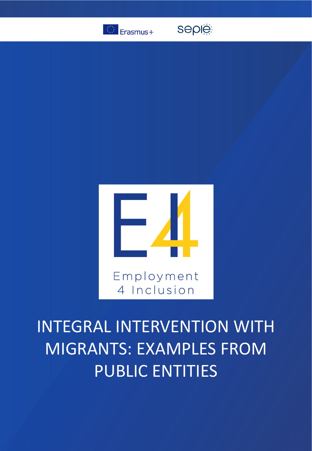

seple



# INTEGRAL INTERVENTION WITH MIGRANTS: EXAMPLES FROM PUBLIC ENTITIES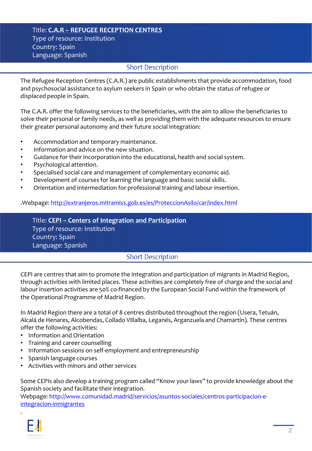### Title: **C.A.R – REFUGEE RECEPTION CENTRES** Type of resource: Institution Country: Spain Language: Spanish

## **Short Description**

The Refugee Reception Centres (C.A.R.) are public establishments that provide accommodation, food and psychosocial assistance to asylum seekers in Spain or who obtain the status of refugee or displaced people in Spain.

The C.A.R. offer the following services to the beneficiaries, with the aim to allow the beneficiaries to solve their personal or family needs, as well as providing them with the adequate resources to ensure their greater personal autonomy and their future social integration:

- Accommodation and temporary maintenance.
- Information and advice on the new situation.
- Guidance for their incorporation into the educational, health and social system.
- Psychological attention.
- Specialised social care and management of complementary economic aid.
- Development of courses for learning the language and basic social skills.
- Orientation and intermediation for professional training and labour insertion.

#### .Webpage:<http://extranjeros.mitramiss.gob.es/es/ProteccionAsilo/car/index.html>

Title: **CEPI – Centers of Integration and Participation** Type of resource: Institution Country: Spain Language: Spanish

## **Short Description**

CEPI are centres that aim to promote the integration and participation of migrants in Madrid Region, through activities with limited places. These activities are completely free of charge and the social and labour insertion activities are 50% co-financed by the European Social Fund within the framework of the Operational Programme of Madrid Region.

In Madrid Region there are a total of 8 centres distributed throughout the region (Usera, Tetuán, Alcalá de Henares, Alcobendas, Collado Villalba, Leganés, Arganzuela and Chamartín). These centres offer the following activities:

- Information and Orientation
- Training and career counselling
- Information sessions on self-employment and entrepreneurship
- Spanish language courses
- Activities with minors and other services

Some CEPIs also develop a training program called "Know your laws" to provide knowledge about the Spanish society and facilitate their integration.

[Webpage: http://www.comunidad.madrid/servicios/asuntos-sociales/centros-participacion-e](http://www.comunidad.madrid/servicios/asuntos-sociales/centros-participacion-e-integracion-inmigrantes)integracion-inmigrantes



.